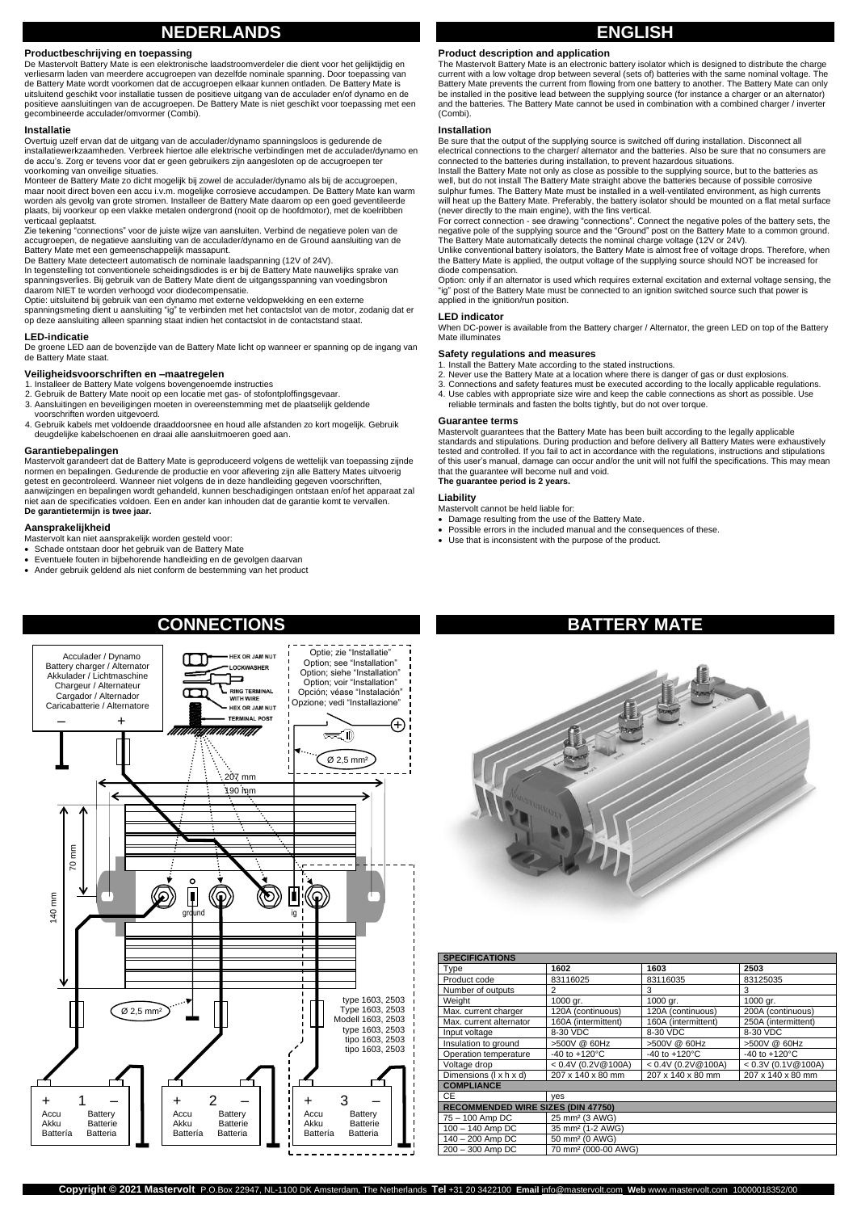# **NEDERLANDS**

**Productbeschrijving en toepassing**<br>De Mastervolt Battery Mate is een elektronische laadstroomverdeler die dient voor het gelijktijdig en verliesarm laden van meerdere accugroepen van dezelfde nominale spanning. Door toepassing van de Battery Mate wordt voorkomen dat de accugroepen elkaar kunnen ontladen. De Battery Mate is uitsluitend geschikt voor installatie tussen de positieve uitgang van de acculader en/of dynamo en de positieve aansluitingen van de accugroepen. De Battery Mate is niet geschikt voor toepassing met een gecombineerde acculader/omvormer (Combi).

### **Installatie**

Overtuig uzelf ervan dat de uitgang van de acculader/dynamo spanningsloos is gedurende de installatiewerkzaamheden. Verbreek hiertoe alle elektrische verbindingen met de acculader/dynamo en de accu's. Zorg er tevens voor dat er geen gebruikers zijn aangesloten op de accugroepen ter voorkoming van onveilige situaties.

Monteer de Battery Mate zo dicht mogelijk bij zowel de acculader/dynamo als bij de accugroepen, maar nooit direct boven een accu i.v.m. mogelijke corrosieve accudampen. De Battery Mate kan warm worden als gevolg van grote stromen. Installeer de Battery Mate daarom op een goed geventileerde plaats, bij voorkeur op een vlakke metalen ondergrond (nooit op de hoofdmotor), met de koelribben verticaal geplaatst.

Zie tekening "connections" voor de juiste wijze van aansluiten. Verbind de negatieve polen van de accugroepen, de negatieve aansluiting van de acculader/dynamo en de Ground aansluiting van de Battery Mate met een gemeenschappelijk massapunt.

De Battery Mate detecteert automatisch de nominale laadspanning (12V of 24V).

In tegenstelling tot conventionele scheidingsdiodes is er bij de Battery Mate nauwelijks sprake van spanningsverlies. Bij gebruik van de Battery Mate dient de uitgangsspanning van voedingsbron daarom NIET te worden verhoogd voor diodecompensatie.

Optie: uitsluitend bij gebruik van een dynamo met externe veldopwekking en een externe spanningsmeting dient u aansluiting "ig" te verbinden met het contactslot van de motor, zodanig dat er op deze aansluiting alleen spanning staat indien het contactslot in de contactstand staat.

### **LED-indicatie**

De groene LED aan de bovenzijde van de Battery Mate licht op wanneer er spanning op de ingang van de Battery Mate staat.

**Veiligheidsvoorschriften en –maatregelen**<br>1. Installeer de Battery Mate volgens bovengenoemde instructies<br>2. Gebruik de Battery Mate nooit op een locatie met gas- of stofontploffingsgevaar.

- 3. Aansluitingen en beveiligingen moeten in overeenstemming met de plaatselijk geldende
- voorschriften worden uitgevoerd. 4. Gebruik kabels met voldoende draaddoorsnee en houd alle afstanden zo kort mogelijk. Gebruik
- deugdelijke kabelschoenen en draai alle aansluitmoeren goed aan.

# **Garantiebepalingen**

Mastervolt garandeert dat de Battery Mate is geproduceerd volgens de wettelijk van toepassing zijnde normen en bepalingen. Gedurende de productie en voor aflevering zijn alle Battery Mates uitvoerig getest en gecontroleerd. Wanneer niet volgens de in deze handleiding gegeven voorschriften, aanwijzingen en bepalingen wordt gehandeld, kunnen beschadigingen ontstaan en/of het apparaat zal niet aan de specificaties voldoen. Een en ander kan inhouden dat de garantie komt te vervallen. **De garantietermijn is twee jaar.** 

### **Aansprakelijkheid**

Mastervolt kan niet aansprakelijk worden gesteld voor: • Schade ontstaan door het gebruik van de Battery Mate

- Eventuele fouten in bijbehorende handleiding en de gevolgen daarvan
- Ander gebruik geldend als niet conform de bestemming van het product



# **ENGLISH**

# **Product description and application**

The Mastervolt Battery Mate is an electronic battery isolator which is designed to distribute the charge current with a low voltage drop between several (sets of) batteries with the same nominal voltage. The Battery Mate prevents the current from flowing from one battery to another. The Battery Mate can only be installed in the positive lead between the supplying source (for instance a charger or an alternator) and the batteries. The Battery Mate cannot be used in combination with a combined charger / inverter (Combi).

### **Installation**

Be sure that the output of the supplying source is switched off during installation. Disconnect all electrical connections to the charger/ alternator and the batteries. Also be sure that no consumers are<br>connected to the batteries during installation, to prevent hazardous situations.<br>Install the Battery Mate not only as

well, but do not install The Battery Mate straight above the batteries because of possible corrosive<br>well, but do not install The Battery Mate straight above the batteries because of possible corrosive sulphur fumes. The Battery Mate must be installed in a well-ventilated environment, as high currents will heat up the Battery Mate. Preferably, the battery isolator should be mounted on a flat metal surface (never directly to the main engine), with the fins vertical.

For correct connection - see drawing "connections". Connect the negative poles of the battery sets, the negative pole of the supplying source and the "Ground" post on the Battery Mate to a common ground. The Battery Mate automatically detects the nominal charge voltage (12V or 24V). Unlike conventional battery isolators, the Battery Mate is almost free of voltage drops. Therefore, when

the Battery Mate is applied, the output voltage of the supplying source should NOT be increased for diode compensation.

Option: only if an alternator is used which requires external excitation and external voltage sensing, the "ig" post of the Battery Mate must be connected to an ignition switched source such that power is applied in the ignition/run position.

### **LED indicator**

When DC-power is available from the Battery charger / Alternator, the green LED on top of the Battery Mate illuminates

## **Safety regulations and measures**

1. Install the Battery Mate according to the stated instructions.<br>2. Never use the Battery Mate at a location where there is danger of gas or dust explosions.<br>3. Connections and safety features must be executed according t

- 
- 4. Use cables with appropriate size wire and keep the cable connections as short as possible. Use

reliable terminals and fasten the bolts tightly, but do not over torque.

### **Guarantee terms**

Mastervolt guarantees that the Battery Mate has been built according to the legally applicable standards and stipulations. During production and before delivery all Battery Mates were exhaustively tested and controlled. If you fail to act in accordance with the regulations, instructions and stipulations of this user's manual, damage can occur and/or the unit will not fulfil the specifications. This may mean that the guarantee will become null and void. **The guarantee period is 2 years.**

# **Liability**

Mastervolt cannot be held liable for:

• Damage resulting from the use of the Battery Mate.

- Possible errors in the included manual and the consequences of these.
- Use that is inconsistent with the purpose of the product.



| <b>SPECIFICATIONS</b>                     |                           |                           |
|-------------------------------------------|---------------------------|---------------------------|
| 1602                                      | 1603                      | 2503                      |
| 83116025                                  | 83116035                  | 83125035                  |
| $\overline{2}$                            | 3                         | 3                         |
| 1000 gr.                                  | 1000 gr.                  | 1000 gr.                  |
| 120A (continuous)                         | 120A (continuous)         | 200A (continuous)         |
| 160A (intermittent)                       | 160A (intermittent)       | 250A (intermittent)       |
| 8-30 VDC                                  | 8-30 VDC                  | 8-30 VDC                  |
| >500V @ 60Hz                              | >500V @ 60Hz              | >500V @ 60Hz              |
| $-40$ to $+120^{\circ}$ C                 | $-40$ to $+120^{\circ}$ C | $-40$ to $+120^{\circ}$ C |
| $< 0.4V$ (0.2V@100A)                      | $< 0.4V$ (0.2V@100A)      | < 0.3V (0.1V@100A)        |
| 207 x 140 x 80 mm                         | 207 x 140 x 80 mm         | 207 x 140 x 80 mm         |
| <b>COMPLIANCE</b>                         |                           |                           |
| ves                                       |                           |                           |
| <b>RECOMMENDED WIRE SIZES (DIN 47750)</b> |                           |                           |
| 25 mm <sup>2</sup> (3 AWG)                |                           |                           |
| 35 mm <sup>2</sup> (1-2 AWG)              |                           |                           |
| 50 mm <sup>2</sup> (0 AWG)                |                           |                           |
| 70 mm <sup>2</sup> (000-00 AWG)           |                           |                           |
|                                           |                           |                           |

# **BATTERY MAT**